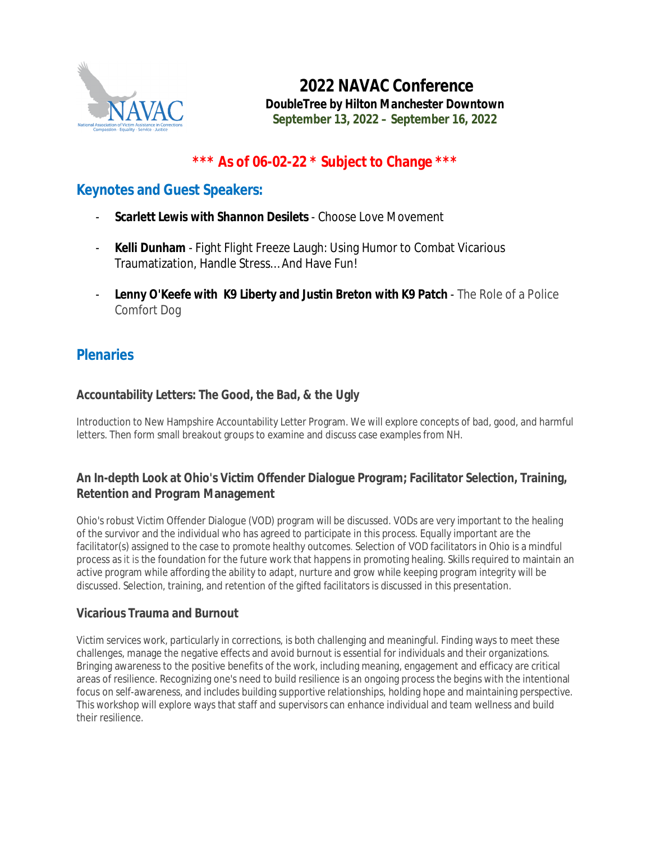

**2022 NAVAC Conference** *DoubleTree by Hilton Manchester Downtown* **September 13, 2022 – September 16, 2022**

# **\*\*\* As of 06-02-22 \* Subject to Change \*\*\***

# **Keynotes and Guest Speakers:**

- **Scarlett Lewis with Shannon Desilets** Choose Love Movement
- **Kelli Dunham** Fight Flight Freeze Laugh: Using Humor to Combat Vicarious Traumatization, Handle Stress… And Have Fun!
- **Lenny O'Keefe with K9 Liberty and Justin Breton with K9 Patch** The Role of a Police Comfort Dog

# **Plenaries**

# **Accountability Letters: The Good, the Bad, & the Ugly**

Introduction to New Hampshire Accountability Letter Program. We will explore concepts of bad, good, and harmful letters. Then form small breakout groups to examine and discuss case examples from NH.

# **An In-depth Look at Ohio's Victim Offender Dialogue Program; Facilitator Selection, Training, Retention and Program Management**

Ohio's robust Victim Offender Dialogue (VOD) program will be discussed. VODs are very important to the healing of the survivor and the individual who has agreed to participate in this process. Equally important are the facilitator(s) assigned to the case to promote healthy outcomes. Selection of VOD facilitators in Ohio is a mindful process as it is the foundation for the future work that happens in promoting healing. Skills required to maintain an active program while affording the ability to adapt, nurture and grow while keeping program integrity will be discussed. Selection, training, and retention of the gifted facilitators is discussed in this presentation.

# **Vicarious Trauma and Burnout**

Victim services work, particularly in corrections, is both challenging and meaningful. Finding ways to meet these challenges, manage the negative effects and avoid burnout is essential for individuals and their organizations. Bringing awareness to the positive benefits of the work, including meaning, engagement and efficacy are critical areas of resilience. Recognizing one's need to build resilience is an ongoing process the begins with the intentional focus on self-awareness, and includes building supportive relationships, holding hope and maintaining perspective. This workshop will explore ways that staff and supervisors can enhance individual and team wellness and build their resilience.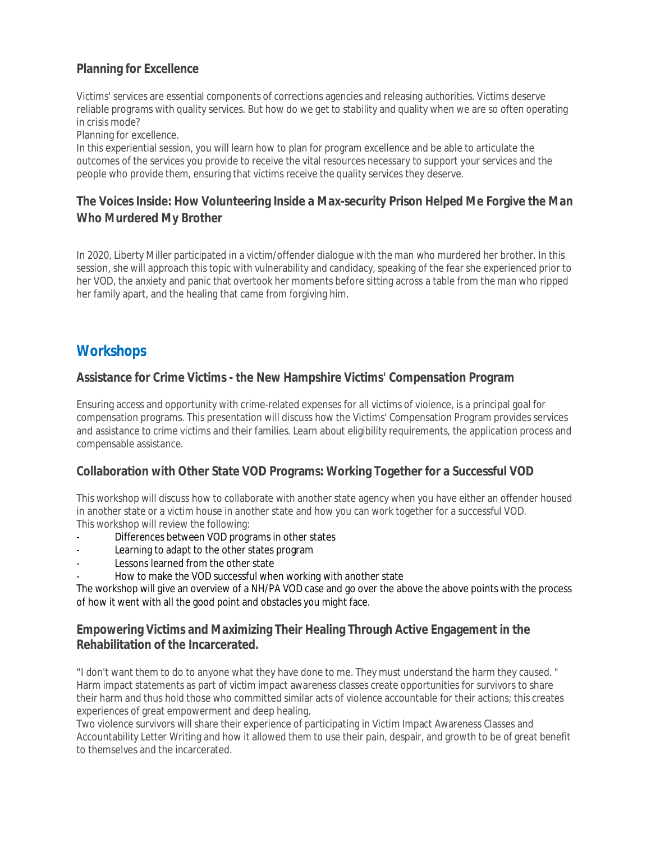# **Planning for Excellence**

Victims' services are essential components of corrections agencies and releasing authorities. Victims deserve reliable programs with quality services. But how do we get to stability and quality when we are so often operating in crisis mode?

Planning for excellence.

In this experiential session, you will learn how to plan for program excellence and be able to articulate the outcomes of the services you provide to receive the vital resources necessary to support your services and the people who provide them, ensuring that victims receive the quality services they deserve.

# **The Voices Inside: How Volunteering Inside a Max-security Prison Helped Me Forgive the Man Who Murdered My Brother**

In 2020, Liberty Miller participated in a victim/offender dialogue with the man who murdered her brother. In this session, she will approach this topic with vulnerability and candidacy, speaking of the fear she experienced prior to her VOD, the anxiety and panic that overtook her moments before sitting across a table from the man who ripped her family apart, and the healing that came from forgiving him.

# **Workshops**

# **Assistance for Crime Victims - the New Hampshire Victims' Compensation Program**

Ensuring access and opportunity with crime-related expenses for all victims of violence, is a principal goal for compensation programs. This presentation will discuss how the Victims' Compensation Program provides services and assistance to crime victims and their families. Learn about eligibility requirements, the application process and compensable assistance.

# **Collaboration with Other State VOD Programs: Working Together for a Successful VOD**

This workshop will discuss how to collaborate with another state agency when you have either an offender housed in another state or a victim house in another state and how you can work together for a successful VOD. This workshop will review the following:

- Differences between VOD programs in other states
- Learning to adapt to the other states program
- Lessons learned from the other state
- How to make the VOD successful when working with another state

The workshop will give an overview of a NH/PA VOD case and go over the above the above points with the process of how it went with all the good point and obstacles you might face.

# **Empowering Victims and Maximizing Their Healing Through Active Engagement in the Rehabilitation of the Incarcerated.**

"I don't want them to do to anyone what they have done to me. They must understand the harm they caused. " Harm impact statements as part of victim impact awareness classes create opportunities for survivors to share their harm and thus hold those who committed similar acts of violence accountable for their actions; this creates experiences of great empowerment and deep healing.

Two violence survivors will share their experience of participating in Victim Impact Awareness Classes and Accountability Letter Writing and how it allowed them to use their pain, despair, and growth to be of great benefit to themselves and the incarcerated.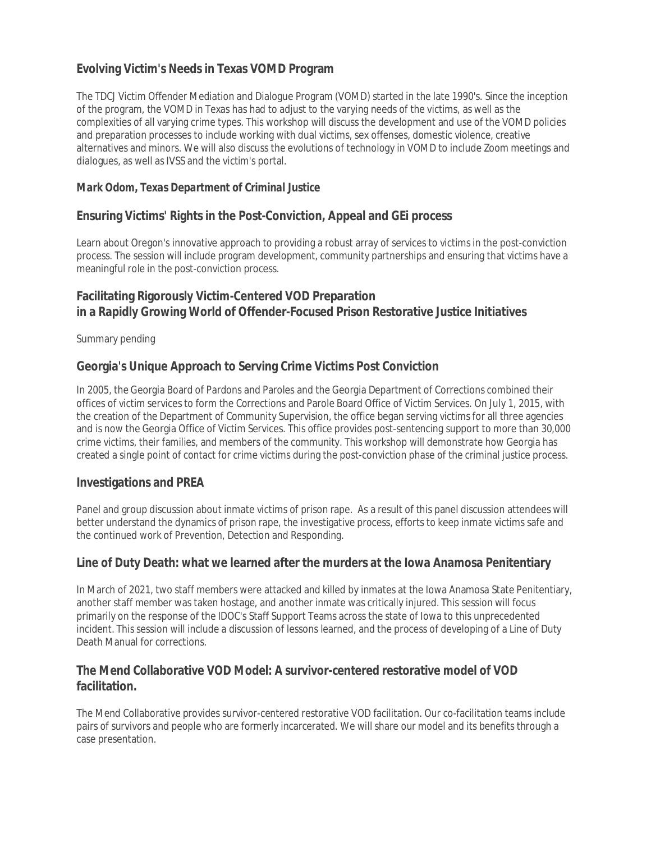# **Evolving Victim's Needs in Texas VOMD Program**

The TDCJ Victim Offender Mediation and Dialogue Program (VOMD) started in the late 1990's. Since the inception of the program, the VOMD in Texas has had to adjust to the varying needs of the victims, as well as the complexities of all varying crime types. This workshop will discuss the development and use of the VOMD policies and preparation processes to include working with dual victims, sex offenses, domestic violence, creative alternatives and minors. We will also discuss the evolutions of technology in VOMD to include Zoom meetings and dialogues, as well as IVSS and the victim's portal.

#### *Mark Odom, Texas Department of Criminal Justice*

### **Ensuring Victims' Rights in the Post-Conviction, Appeal and GEi process**

Learn about Oregon's innovative approach to providing a robust array of services to victims in the post-conviction process. The session will include program development, community partnerships and ensuring that victims have a meaningful role in the post-conviction process.

### **Facilitating Rigorously Victim-Centered VOD Preparation in a Rapidly Growing World of Offender-Focused Prison Restorative Justice Initiatives**

Summary pending

### **Georgia's Unique Approach to Serving Crime Victims Post Conviction**

In 2005, the Georgia Board of Pardons and Paroles and the Georgia Department of Corrections combined their offices of victim services to form the Corrections and Parole Board Office of Victim Services. On July 1, 2015, with the creation of the Department of Community Supervision, the office began serving victims for all three agencies and is now the Georgia Office of Victim Services. This office provides post-sentencing support to more than 30,000 crime victims, their families, and members of the community. This workshop will demonstrate how Georgia has created a single point of contact for crime victims during the post-conviction phase of the criminal justice process.

#### **Investigations and PREA**

Panel and group discussion about inmate victims of prison rape. As a result of this panel discussion attendees will better understand the dynamics of prison rape, the investigative process, efforts to keep inmate victims safe and the continued work of Prevention, Detection and Responding.

#### **Line of Duty Death: what we learned after the murders at the Iowa Anamosa Penitentiary**

In March of 2021, two staff members were attacked and killed by inmates at the Iowa Anamosa State Penitentiary, another staff member was taken hostage, and another inmate was critically injured. This session will focus primarily on the response of the IDOC's Staff Support Teams across the state of Iowa to this unprecedented incident. This session will include a discussion of lessons learned, and the process of developing of a Line of Duty Death Manual for corrections.

### **The Mend Collaborative VOD Model: A survivor-centered restorative model of VOD facilitation.**

The Mend Collaborative provides survivor-centered restorative VOD facilitation. Our co-facilitation teams include pairs of survivors and people who are formerly incarcerated. We will share our model and its benefits through a case presentation.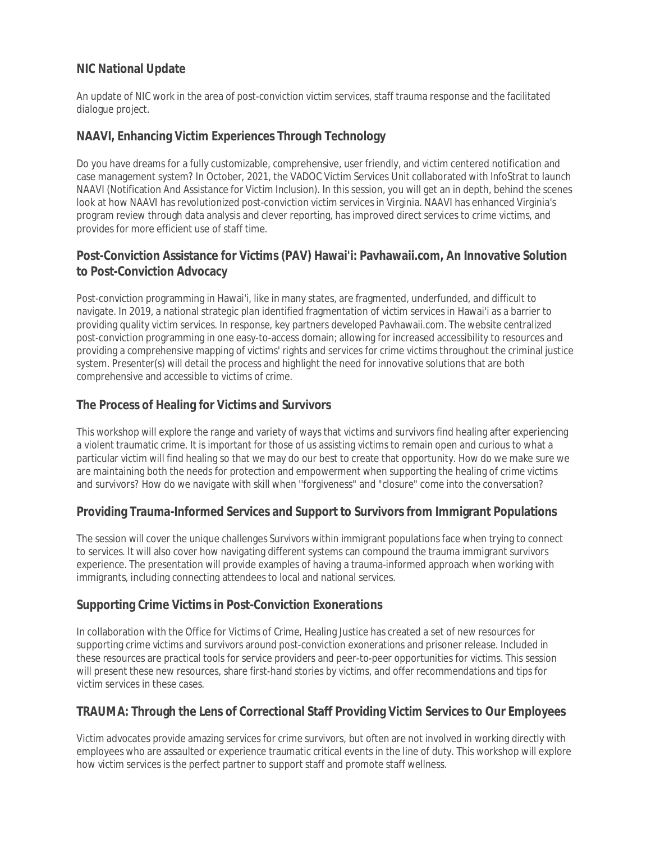# **NIC National Update**

An update of NIC work in the area of post-conviction victim services, staff trauma response and the facilitated dialogue project.

### **NAAVI, Enhancing Victim Experiences Through Technology**

Do you have dreams for a fully customizable, comprehensive, user friendly, and victim centered notification and case management system? In October, 2021, the VADOC Victim Services Unit collaborated with lnfoStrat to launch NAAVI (Notification And Assistance for Victim Inclusion). In this session, you will get an in depth, behind the scenes look at how NAAVI has revolutionized post-conviction victim services in Virginia. NAAVI has enhanced Virginia's program review through data analysis and clever reporting, has improved direct services to crime victims, and provides for more efficient use of staff time.

# **Post-Conviction Assistance for Victims (PAV) Hawai'i: Pavhawaii.com, An Innovative Solution to Post-Conviction Advocacy**

Post-conviction programming in Hawai'i, like in many states, are fragmented, underfunded, and difficult to navigate. In 2019, a national strategic plan identified fragmentation of victim services in Hawai'i as a barrier to providing quality victim services. In response, key partners developed Pavhawaii.com. The website centralized post-conviction programming in one easy-to-access domain; allowing for increased accessibility to resources and providing a comprehensive mapping of victims' rights and services for crime victims throughout the criminal justice system. Presenter(s) will detail the process and highlight the need for innovative solutions that are both comprehensive and accessible to victims of crime.

# **The Process of Healing for Victims and Survivors**

This workshop will explore the range and variety of ways that victims and survivors find healing after experiencing a violent traumatic crime. It is important for those of us assisting victims to remain open and curious to what a particular victim will find healing so that we may do our best to create that opportunity. How do we make sure we are maintaining both the needs for protection and empowerment when supporting the healing of crime victims and survivors? How do we navigate with skill when ''forgiveness" and "closure" come into the conversation?

# **Providing Trauma-Informed Services and Support to Survivors from Immigrant Populations**

The session will cover the unique challenges Survivors within immigrant populations face when trying to connect to services. It will also cover how navigating different systems can compound the trauma immigrant survivors experience. The presentation will provide examples of having a trauma-informed approach when working with immigrants, including connecting attendees to local and national services.

# **Supporting Crime Victims in Post-Conviction Exonerations**

In collaboration with the Office for Victims of Crime, Healing Justice has created a set of new resources for supporting crime victims and survivors around post-conviction exonerations and prisoner release. Included in these resources are practical tools for service providers and peer-to-peer opportunities for victims. This session will present these new resources, share first-hand stories by victims, and offer recommendations and tips for victim services in these cases.

# **TRAUMA: Through the Lens of Correctional Staff Providing Victim Services to Our Employees**

Victim advocates provide amazing services for crime survivors, but often are not involved in working directly with employees who are assaulted or experience traumatic critical events in the line of duty. This workshop will explore how victim services is the perfect partner to support staff and promote staff wellness.